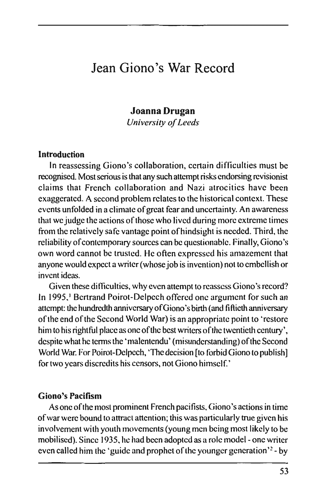# Jean Giono's War Record

## **Joanna Drugan**

*University of Leeds* 

#### **Introduction**

**In** reassessing Giono's collaboration, certain difficulties must be recognised. Most serious is that any such attempt risks endorsing revisionist claims that French collaboration and Nazi atrocities have been exaggerated. A second problem relates to the historical context. These events unfolded in a climate of great fear and uncertainty. An awareness that we judge the actions of those who lived during more extreme times from the relatively safe vantage point of hindsight is needed. Third, the reliability of contemporary sources can be questionable. Finally, Giono's own word cannot be trusted. He often expressed his amazement that anyone would expect a writer (whose job is invention) not to embellish or invent ideas.

Given these difficulties, why even attempt to reassess Giono's record? In 1995,<sup>1</sup> Bertrand Poirot-Delpech offered one argument for such an attempt: the hundredth anniversary of Giono's birth (and fiftieth anniversary of lhe end of the Second World War) is an appropriate point to 'restore him to his rightful place as one of the best writers of the twentieth century', despite what he terms the 'malentendu' (misunderstanding) of the Second World War. For Poirot-Delpcch, 'The decision [to forbid Giono to publish] for two years discredits his censors, not Giono himself.'

#### **Giono's Pacifism**

As one of the most prominent French pacifists, Giono's actions in time of war were bound to attract attention; this was particularly true given his involvement with youth movements (young men being most likely to be mobilised). Since 1935, he had been adopted as a role model - one writer even called him the 'guide and prophet of the younger generation'<sup>2</sup> - by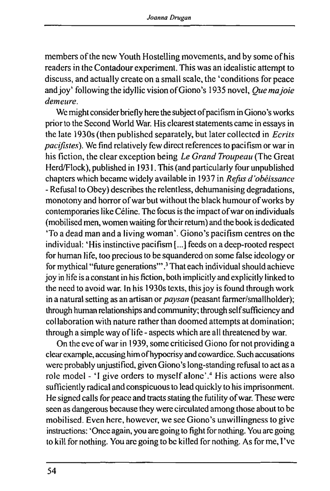members of the new Youth Hostelling movements, and by some of his readers in the Contadour experiment. This was an idealistic attempt to discuss, and actually create on a small scale, the 'conditions for peace and joy' following the idyllic vision of Giono's 1935 novel. *Que ma joie demeure.* 

We might consider briefly here the subject of pacifism in Giono's works prior to the Second World War. His clearest statements came in essays in the late 1930s (then published separately, but later collected in *Ecrits pacifistes).* We find relatively few direct references to pacifism or war in his fiction, the clear exception being *Le Grand Troupeau* (The Great Herd/Flock), published in 1931. This (and particularly four unpublished chapters which became widely available in 1937 in *Refus d'obéissance -* Refusal to Obey) describes the relentless, dehumanising degradations, monotony and horror of war but without the black humour of works by contemporaries like Céline. The focus is the impact of war on individuals (mobilised men, women waiting for their return) and the book is dedicated 'To a dead man and a living woman'. Giono's pacifism centres on the individual: 'His instinctive pacifism [...] feeds on a deep-rooted respect for human life, too precious to be squandered on some false ideology or for mythical "future generations'".3 That each individual should achieve joy in life is a constant in his fiction, both implicitly **and** explicitly linked to the need to avoid war. In his 1930s texts, this joy is found through work in a natural setting as an artisan or *paysan* (peasant farmer/smallholder); through human relationships and community; through self sufficiency and collaboration with nature rather than doomed attempts at domination; through a simple way of life - aspects which are all threatened by war.

On the eve of war in 1939, some criticised Giono for not providing a clear example, accusing him of hypocrisy and cowardice. Such accusations were probably unjustified, given Giono's long-standing refusal to actas a role model - 'I give orders to myself alone'.<sup>4</sup> His actions were also sufficiently radical and conspicuous to lead quickly to his imprisonment. He signed calls for peace and tracts stating the futility of war. These were seen as dangerous because they were circulated among those about to be mobilised. Even here, however, we see Giono's unwillingness to give instmctions: 'Once again, you are going to fight for nothing. You are going to kill for nothing. You are going to be killed for nothing. As for me, I've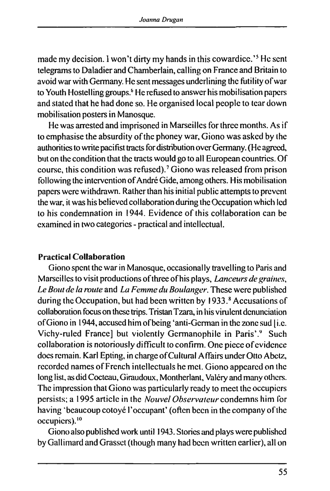made my decision. I won't dirty my hands in this cowardice.'<sup>5</sup> He sent telegrams to Daladier and Chamberlain, calling on France and Britain to avoid war with Germany. He sent messages underlining the futility of war to Youth Hostelling groups.<sup>6</sup> He refused to answer his mobilisation papers and stated that he had done so. He organised local people to tear down mobilisation posters in Manosque.

He was arrested and imprisoned in Marseilles for three months. As if to emphasise the absurdity of the phoney war, Giono was asked by the authorities to write pacifist tracts for distribution over Germany. (He agreed, but on the condition that the tracts would go to all European countries. Of course, this condition was refused).7 Giono was released from prison following the intervention of André Gide, among others. His mobilisation papers were withdrawn. Rather than his initial public attempts to prevent the war, it was his believed collaboration during the Occupation which led to his condemnation in 1944. Evidence of this collaboration can be examined in two categories - practical and intellectual.

#### **Practical Collaboration**

Giono spent the war in Manosque, occasionally travelling to Paris and Marseilles to visit productions of three of his plays. *Lanceurs de graines. Le Bout de la mute* and *La Femme du Boulanger.* These were published during the Occupation, but had been written by 1933.<sup>8</sup> Accusations of collaboration focus on these trips. Tristan Tzara, in his virulent denunciation of Giono in 1944, accused him of being 'anti-German in the zone sud [i.e. Vichy-ruled France] but violently Germanophile in Paris'.<sup>9</sup> Such collaboration is notoriously difficult to confirm. One piece of evidence docs remain. Karl Epting, in charge of Cultural Affairs under Otto Abetz, recorded names of French intellectuals he met. Giono appeared on the long list, as did Cocteau, Giraudoux, Montherlant, Valéry and many others. The impression that Giono was particularly ready to meet the occupiers persists; a 1995 article in the *Nouvel Observateur* condemns him for having 'beaucoup cotoyé l'occupant' (often been in the company of the occupiers).10

Giono also published work until 1943. Stories and plays were published by Gallimard and Grasset (though many had been written earlier), all on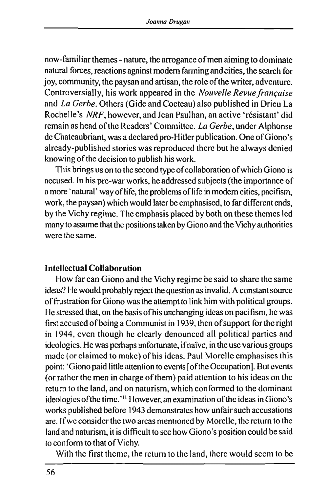now-familiar themes - nature, the arrogance of men aiming to dominate natural forces, reactions against modem farming and cities, the search for joy, community, the paysan and artisan, the role of the writer, adventure. Controversially, his work appeared in the *Nouvelle Revue française*  and *La Gerbe.* Others (Gide and Cocteau) also published in Drieu La Rochelle's *NRF,* however, and Jean Paulhan, an active 'résistant' did remain as head of the Readers' Committee. *La Gerbe,* under Alphonse de Chateaubriant, was a declared pro-Hitler publication. One of Giono's already-published stories was reproduced there but he always denied knowing of the decision to publish his work.

This brings us on to the second type of collaboration of which Giono is accused. In his pre-war works, he addressed subjects (the importance of a more 'natural' way of life, the problems of life in modem cities, pacifism, work, the paysan) which would later be emphasised, to far different ends, by the Vichy regime. The emphasis placed by both on these themes led many to assume that the positions taken by Giono and the Vichy authorities were the same.

#### Intellectual Collaboration

How far can Giono and the Vichy regime be said to share the same ideas? He would probably reject the question as invalid. A constant source of frustration for Giono was the attempt to link him with political groups. He stressed that, on the basis of his unchanging ideas on pacifism, he was first accused of being a Communist in 1939, then of support for the right in 1944, even though he clearly denounced all political parties and ideologies. He was perhaps unfortunate, if naïve, in the use various groups made (or claimed to make) of his ideas. Paul Morelle emphasises this point: 'Giono paid little attention to events [of the Occupation]. But events (or rather the men in charge of them) paid attention to his ideas on the return to the land, and on naturism, which conformed to the dominant ideologies of the time.'<sup>11</sup> However, an examination of the ideas in Giono's works published before 1943 demonstrates how unfair such accusations are. If we consider the two areas mentioned by Morelle, the return to the land and naturism, it is difficult to see how Giono's position could be said to conform to that of Vichy.

With the first theme, the return to the land, there would seem to be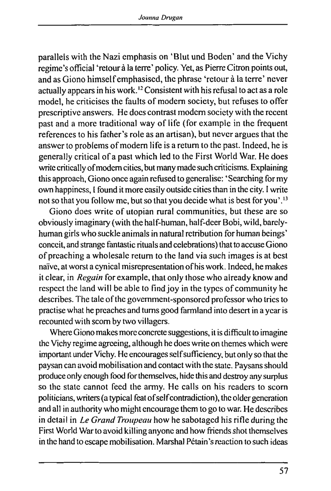parallels with the Nazi emphasis on 'Blut und Boden' and the Vichy regime's official 'retour à la terre' policy. Yet, as Pierre Citron points out, and as Giono himself emphasised, the phrase 'retour à la terre' never actually appears in his work.<sup>12</sup> Consistent with his refusal to act as a role model, he criticises the faults of modem society, but refuses to offer prescriptive answers. He does contrast modem society with the recent past and a more traditional way of life (for example in the frequent references to his father's role as an artisan), but never argues that the answer to problems of modem life is a return to the past. Indeed, he is generally critical of a past which led to the First World War. He does write critically of modern cities, but many made such criticisms. Explaining this approach, Giono once again refused to generalise: 'Searching for my own happiness, I found it more easily outside cities than in the city. I write not so that you follow me, but so that you decide what is best for you'.<sup>13</sup>

Giono does write of utopian rural communities, but these are so obviously imaginary (with the half-human, half-deer Bobi, wild, barelyhuman girls who suckle animals in natural retribution for human beings' conceit, and strange fantastic rituals and celebrations) that to accuse Giono of preaching a wholesale return to the land via such images is at best naive, at worst a cynical misrepresentation of his work. Indeed, he makes it clear, in *Regain* for example, that only those who already know and respect the land will be able to find joy in the types of community he describes. The tale of the govemment-sponsored professor who tries to practise what he preaches and turns good farmland into desert in a year is recounted with scorn by two villagers.

Where Giono makes more concrete suggestions, it is difficult to imagine the Vichy regime agreeing, although he does write on themes which were important under Vichy. He encourages self sufficiency, but only so that the paysan can avoid mobilisation and contact with the state. Paysans should produce only enough food for themselves, hide this and destroy any surplus so the state cannot feed the army. He calls on his readers to scorn politicians, writers (a typical feat of self contradiction), the older generation and all in authority who might encourage them to go to war. He describes in detail in *Le Grand Troupeau* how he sabotaged his rifle during the First World War to avoid killing anyone and how friends shot themselves in the hand to escape mobilisation. Marshal Pétain's reaction to such ideas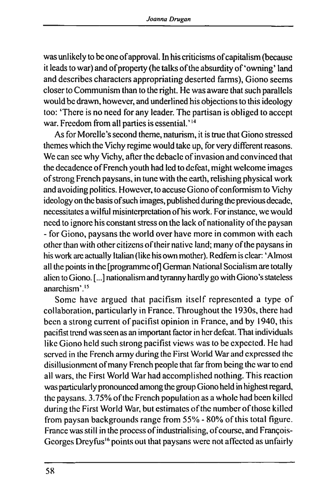was unlikely to be one of approval. In his criticisms of capitalism (because it leads to war) and of property (he talks of the absurdity of'owning' land and describes characters appropriating deserted farms), Giono seems closer to Communism than to the right. He was aware that such parallels would be drawn, however, and underlined his objections to this ideology too: 'There is no need for any leader. The partisan is obliged to accept war. Freedom from all parties is essential.' $^{14}$ 

As for Morelle's second theme, naturism, it is true that Giono stressed themes which the Vichy regime would take up, for very different reasons. We can see why Vichy, after the debacle of invasion and convinced that the decadence of French youth had led to defeat, might welcome images of strong French paysans, in tune with the earth, relishing physical work and avoiding politics. However, to accuse Giono of conformism to Vichy ideology on the basis of such images, published during the previous decade, necessitates a wilful misinterpretation of his work. For instance, we would need to ignore his constant stress on the lack of nationality of the paysan - for Giono, paysans the world over have more in common with each other than with other citizens of their native land; many of the paysans in his work arc actually Italian (like his own mother). Redfem is clear: 'Almost all the points in the [programme of] German National Socialism are totally alien to Giono. [...] nationalism and tyranny hardly go with Giono's stateless anarchism'.15

Some have argued that pacifism itself represented a type of collaboration, particularly in France. Throughout the 1930s, there had been a strong current of pacifist opinion in France, and by 1940, this pacifist trend was seen as an important factor in her defeat. That individuals like Giono held such strong pacifist views was to be expected. He had served in the French army during the First World War and expressed the disillusionment of many French people that far from being the war to end all wars, the First World War had accomplished nothing. This reaction was particularly pronounced among the group Giono held in highest regard, the paysans. 3.75% of the French population as a whole had been killed during the First World War, but estimates of the number of those killed from paysan backgrounds range from 55% - 80% of this total figure. France was still in the process of industrialising, of course, and François-Georges Dreyfus<sup>16</sup> points out that paysans were not affected as unfairly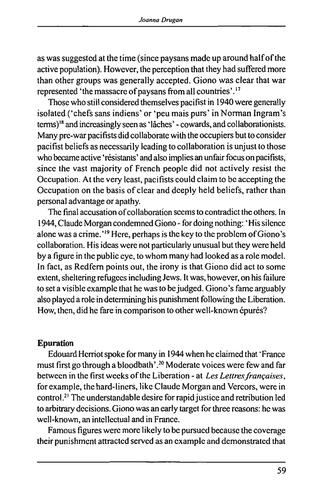as was suggested at the time (since paysans made up around half of the active population). However, the perception that they had suffered more than other groups was generally accepted. Giono was clear that war represented 'the massacre of paysans from all countries'.17

Those who still considered themselves pacifist in 1940 were generally isolated ('chefs sans indiens' or 'peu mais purs' in Norman Ingram's terms)18 and increasingly seen as 'lâches' - cowards, and collaborationists. Many pre-war pacifists did collaborate with the occupiers but to consider pacifist beliefs as necessarily leading to collaboration is unjust to those who became active 'résistants' and also implies an unfair focus on pacifists, since the vast majority of French people did not actively resist the Occupation. At the very least, pacifists could claim to be accepting the Occupation on the basis of clear and deeply held beliefs, rather than personal advantage or apathy.

The final accusation of collaboration seems to contradict the others. In 1944, Claude Morgan condemned Giono - for doing nothing: ' His silence alone was a crime.'19 Here, perhaps is the key to the problem of Giono's collaboration. His ideas were not particularly unusual but they were held by a figure in the public eye, to whom many had looked as a role model. In fact, as Redfem points out, the irony is that Giono did act to some extent, sheltering refugees including Jews. It was, however, on his failure to set a visible example that he was to be judged. Giono's fame arguably also played a role in determining his punishment following the Liberation. How, then, did he fare in comparison to other well-known épurés?

## **Epuration**

Edouard Herriot spoke for many in 1944 when he claimed that 'France must first go through a bloodbath'.<sup>20</sup> Moderate voices were few and far between in the first weeks of the Liberation - at *Les Lettres françaises,*  for example, the hard-liners, like Claude Morgan and Vercors, were in control.21 The understandable desire for rapid justice **and** retribution led to arbitrary decisions. Giono was an early target for three reasons: he was well-known, an intellectual and in France.

Famous figures were more likely to be pursued because the coverage their punishment attracted served as an example and demonstrated that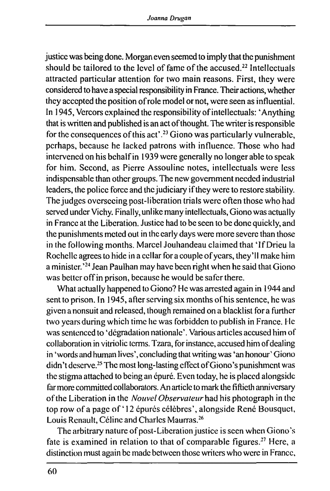justice was being done. Morgan even seemed to imply that the punishment should be tailored to the level of fame of the accused.<sup>22</sup> Intellectuals attracted particular attention for two main reasons. First, they were considered to have a special responsibility in France. Their actions, whether they accepted the position of role model or not, were seen as influential. In 1945, Vercors explained the responsibility of intellectuals: 'Anything that is written and published is an act of thought. The writer is responsible for the consequences of this act'.23 Giono was particularly vulnerable, perhaps, because he lacked patrons with influence. Those who had intervened on his behalf in 1939 were generally no longer able to speak for him. Second, as Pierre Assouline notes, intellectuals were less indispensable than other groups. The new govemment needed industrial leaders, the police force and the judiciary if they were to restore stability. The judges overseeing post-liberation trials were often those who had served under Vichy. Finally, unlike many intellectuals, Giono was actually in France at the Liberation. Justice had to be seen to be done quickly, and the punishments meted out in the early days were more severe than those in the following months. Marcel Jouhandeau claimed that 'If Drieu la Rochelle agrees to hide in a cellar for a couple of years, they'll make him a minister.'24 Jean Paulhan may have been right when he said that Giono was better off in prison, because he would be safer there.

What actually happened to Giono? He was arrested again in 1944 and sent to prison. In 1945, after serving six months of his sentence, he was given a nonsuit and released, though remained on a blacklist fora further two years during which time he was forbidden to publish in France. He was sentenced to 'dégradation nationale'. Various articles accused him of collaboration in vitriolic terms. Tzara, for instance, accused him of dealing in 'words and human lives', concluding that writing was 'an honour' Giono didn't deserve.25 The most long-lasting effect of Giono's punishment was the stigma attached to being an épuré. Even today, he is placed alongside far more committed collaborators. An article to mark the fiftieth anniversary of the Liberation in the *Nouvel Observateur* had his photograph in the top row of a page of '12 épurés célèbres', alongside René Bousquet, Louis Renault, Céline and Charles Maurras.26

The arbitrary nature of post-Liberation justice is seen when Giono's fate is examined in relation to that of comparable figures.<sup>27</sup> Here, a distinction must again be made between those writers who were in France,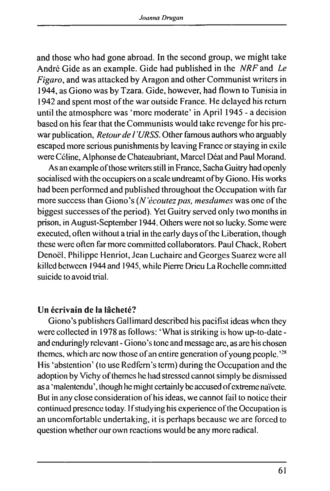and those who had gone abroad. In the second group, we might take André Gide as an example. Gide had published in the *NRF* and *Le Figaro,* and was attacked by Aragon and other Communist writers in 1944, as Giono was by Tzara. Gide, however, had flown to Tunisia in 1942 and spent most of the war outside France. He delayed his return until the atmosphere was 'more moderate' in April 1945 - a decision based on his fear that the Communists would take revenge for his prewar publication. *Retour de l'URSS.* Other famous authors who arguably escaped more serious punishments by leaving France or staying in exile were Céline, Alphonse de Chateaubriant, Marcel Déat and Paul Morand.

As an example of those writers still in France, Sacha Guitry had openly socialised with the occupiers on a scale undreamt of by Giono. His works had been performed and published throughout the Occupation with far more success than Giono's *{N'écoutez pas, mesdames* was one of the biggest successes of the period). Yet Guitry served only two months in prison, in August-September 1944. Others were not so lucky. Some were executed, often without a trial in the early days of the Liberation, though these were often far more committed collaborators. Paul Chack, Robert Denoël, Philippe Henriot, Jean Luchaire and Georges Suarez were all killed between 1944 and 1945, while Pierre Drieu La Rochelle committed suicide to avoid trial.

## Un écrivain de la lâcheté?

Giono's publishers Gallimard described his pacifist ideas when they were collected in 1978 as follows: 'What is striking is how up-to-date and enduringly relevant - Giono's tone and message are, as are his chosen themes, which arc now those of an entire generation of young people.'<sup>28</sup> His 'abstention' (to use Redfem's term) during the Occupation and the adoption by Vichy of themes he had stressed cannot simply be dismissed as a 'malentendu', though he might certainly be accused of extreme naivete. But in any close consideration of his ideas, we cannot fail to notice their continued presence today. If studying his experience of the Occupation is an uncomfortable undertaking, it is perhaps because we are forced to question whether our own reactions would be any more radical.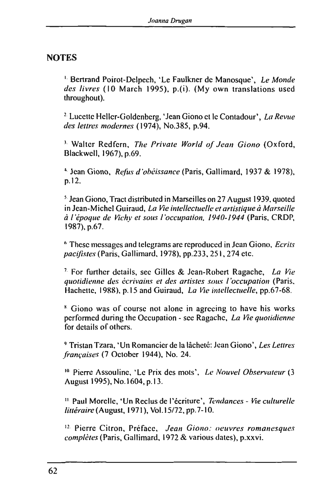## **NOTES**

1 Bertrand Poirot-Delpech, 'Le Faulkner de Manosque', *Le Monde des livres* (10 March 1995), p.(i). (My own translations used throughout).

2 Lucettc Hcller-Goldenberg, 'Jean Giono et le Contadour', *La Revue des lettres modernes* (1974), No.385, p.94.

1 Walter Redfem, *The Private World of Jean Giono* (Oxford, Blackwcll, 1967), p.69.

4 Jean Giono, *Refus d'obéissance* (Paris, Gallimard, 1937 & 1978), p. 12.

5 Jean Giono, Tract distributed in Marseilles on 27 August 1939, quoted in Jean-Michel Guiraud, *La Fie intellectuelle et artistique à Marseille à l'époque de Vichy et sous l'occupation. 1940-1944* (Paris, CROP, 1987), p.67.

6 These messages and telegrams are reproduced in Jean Giono, *Ecrits pacifistes* (Paris, Gallimard, 1978), pp.233.251,274 etc.

7 For further details, see Gilles & Jean-Robert Ragache, *La Vie quotidienne des écrivains et des artistes sous l'occupation* (Paris, Hachette, 1988), p. 15 and Guiraud, *La Fie intellectuelle,* pp.67-68.

8 Giono was of course not alone in agreeing to have his works performed during the Occupation - see Ragachc, *La Vie quotidienne*  for details of others.

9 Tristan Tzara, 'Un Romancier de la lâcheté: Jean Giono', *Les Lettres françaises* (7 October 1944), No. 24.

10 Pierre Assouline, 'Le Prix des mots', *Le Nouvel Observateur* (3 August 1995), No. 1604, p. 13.

" Paul Morelle, 'Un Reclus de l'écriture'. *Tendances - Vie culturelle littéraire* (August, 1971 ), Vol. 15/72, pp. 7-10.

12 Pierre Citron, Préface, *Jean Giono: oeuvres romanesques complètes* (Paris, Gallimard, 1972 & various dates), p.xxvi.